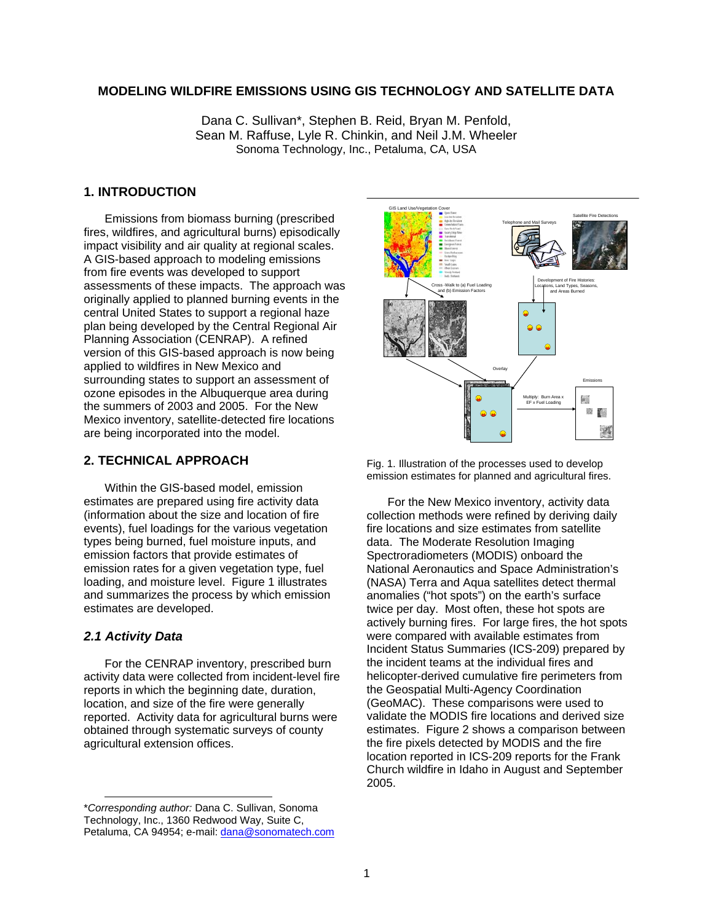## **MODELING WILDFIRE EMISSIONS USING GIS TECHNOLOGY AND SATELLITE DATA**

Dana C. Sullivan\*, Stephen B. Reid, Bryan M. Penfold, Sean M. Raffuse, Lyle R. Chinkin, and Neil J.M. Wheeler Sonoma Technology, Inc., Petaluma, CA, USA

# **1. INTRODUCTION**

Emissions from biomass burning (prescribed fires, wildfires, and agricultural burns) episodically impact visibility and air quality at regional scales. A GIS-based approach to modeling emissions from fire events was developed to support assessments of these impacts. The approach was originally applied to planned burning events in the central United States to support a regional haze plan being developed by the Central Regional Air Planning Association (CENRAP). A refined version of this GIS-based approach is now being applied to wildfires in New Mexico and surrounding states to support an assessment of ozone episodes in the Albuquerque area during the summers of 2003 and 2005. For the New Mexico inventory, satellite-detected fire locations are being incorporated into the model.

# **2. TECHNICAL APPROACH**

Within the GIS-based model, emission estimates are prepared using fire activity data (information about the size and location of fire events), fuel loadings for the various vegetation types being burned, fuel moisture inputs, and emission factors that provide estimates of emission rates for a given vegetation type, fuel loading, and moisture level. Figure 1 illustrates and summarizes the process by which emission estimates are developed.

## *2.1 Activity Data*

l

For the CENRAP inventory, prescribed burn activity data were collected from incident-level fire reports in which the beginning date, duration, location, and size of the fire were generally reported. Activity data for agricultural burns were obtained through systematic surveys of county agricultural extension offices.



Fig. 1. Illustration of the processes used to develop emission estimates for planned and agricultural fires.

For the New Mexico inventory, activity data collection methods were refined by deriving daily fire locations and size estimates from satellite data. The Moderate Resolution Imaging Spectroradiometers (MODIS) onboard the National Aeronautics and Space Administration's (NASA) Terra and Aqua satellites detect thermal anomalies ("hot spots") on the earth's surface twice per day. Most often, these hot spots are actively burning fires. For large fires, the hot spots were compared with available estimates from Incident Status Summaries (ICS-209) prepared by the incident teams at the individual fires and helicopter-derived cumulative fire perimeters from the Geospatial Multi-Agency Coordination (GeoMAC). These comparisons were used to validate the MODIS fire locations and derived size estimates. Figure 2 shows a comparison between the fire pixels detected by MODIS and the fire location reported in ICS-209 reports for the Frank Church wildfire in Idaho in August and September 2005.

<sup>\*</sup>*Corresponding author:* Dana C. Sullivan, Sonoma Technology, Inc., 1360 Redwood Way, Suite C, Petaluma, CA 94954; e-mail: dana@sonomatech.com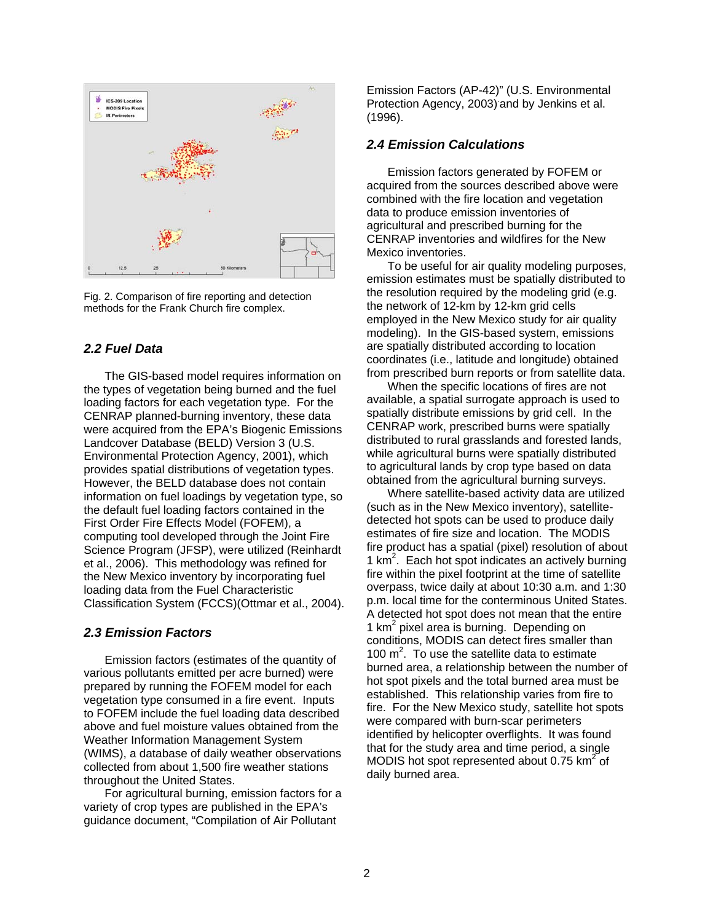

Fig. 2. Comparison of fire reporting and detection methods for the Frank Church fire complex.

## *2.2 Fuel Data*

The GIS-based model requires information on the types of vegetation being burned and the fuel loading factors for each vegetation type. For the CENRAP planned-burning inventory, these data were acquired from the EPA's Biogenic Emissions Landcover Database (BELD) Version 3 (U.S. Environmental Protection Agency, 2001), which provides spatial distributions of vegetation types. However, the BELD database does not contain information on fuel loadings by vegetation type, so the default fuel loading factors contained in the First Order Fire Effects Model (FOFEM), a computing tool developed through the Joint Fire Science Program (JFSP), were utilized (Reinhardt et al., 2006). This methodology was refined for the New Mexico inventory by incorporating fuel loading data from the Fuel Characteristic Classification System (FCCS)(Ottmar et al., 2004).

## *2.3 Emission Factors*

Emission factors (estimates of the quantity of various pollutants emitted per acre burned) were prepared by running the FOFEM model for each vegetation type consumed in a fire event. Inputs to FOFEM include the fuel loading data described above and fuel moisture values obtained from the Weather Information Management System (WIMS), a database of daily weather observations collected from about 1,500 fire weather stations throughout the United States.

For agricultural burning, emission factors for a variety of crop types are published in the EPA's guidance document, "Compilation of Air Pollutant

Emission Factors (AP-42)" (U.S. Environmental Protection Agency, 2003) and by Jenkins et al. (1996).

#### *2.4 Emission Calculations*

Emission factors generated by FOFEM or acquired from the sources described above were combined with the fire location and vegetation data to produce emission inventories of agricultural and prescribed burning for the CENRAP inventories and wildfires for the New Mexico inventories.

To be useful for air quality modeling purposes, emission estimates must be spatially distributed to the resolution required by the modeling grid (e.g. the network of 12-km by 12-km grid cells employed in the New Mexico study for air quality modeling). In the GIS-based system, emissions are spatially distributed according to location coordinates (i.e., latitude and longitude) obtained from prescribed burn reports or from satellite data.

When the specific locations of fires are not available, a spatial surrogate approach is used to spatially distribute emissions by grid cell. In the CENRAP work, prescribed burns were spatially distributed to rural grasslands and forested lands, while agricultural burns were spatially distributed to agricultural lands by crop type based on data obtained from the agricultural burning surveys.

Where satellite-based activity data are utilized (such as in the New Mexico inventory), satellitedetected hot spots can be used to produce daily estimates of fire size and location. The MODIS fire product has a spatial (pixel) resolution of about 1  $km<sup>2</sup>$ . Each hot spot indicates an actively burning fire within the pixel footprint at the time of satellite overpass, twice daily at about 10:30 a.m. and 1:30 p.m. local time for the conterminous United States. A detected hot spot does not mean that the entire 1 km<sup>2</sup> pixel area is burning. Depending on conditions, MODIS can detect fires smaller than 100  $m^2$ . To use the satellite data to estimate burned area, a relationship between the number of hot spot pixels and the total burned area must be established. This relationship varies from fire to fire. For the New Mexico study, satellite hot spots were compared with burn-scar perimeters identified by helicopter overflights. It was found that for the study area and time period, a single MODIS hot spot represented about 0.75  $km^2$  of daily burned area.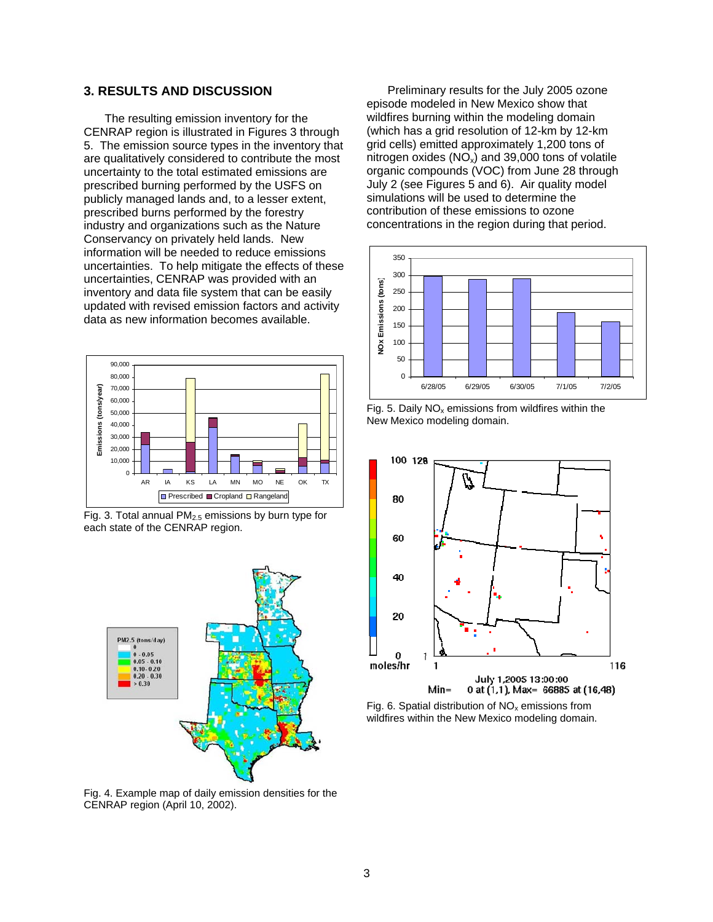## **3. RESULTS AND DISCUSSION**

The resulting emission inventory for the CENRAP region is illustrated in Figures 3 through 5. The emission source types in the inventory that are qualitatively considered to contribute the most uncertainty to the total estimated emissions are prescribed burning performed by the USFS on publicly managed lands and, to a lesser extent, prescribed burns performed by the forestry industry and organizations such as the Nature Conservancy on privately held lands. New information will be needed to reduce emissions uncertainties. To help mitigate the effects of these uncertainties, CENRAP was provided with an inventory and data file system that can be easily updated with revised emission factors and activity data as new information becomes available.



Fig. 3. Total annual  $PM<sub>2.5</sub>$  emissions by burn type for each state of the CENRAP region.



Fig. 4. Example map of daily emission densities for the CENRAP region (April 10, 2002).

Preliminary results for the July 2005 ozone episode modeled in New Mexico show that wildfires burning within the modeling domain (which has a grid resolution of 12-km by 12-km grid cells) emitted approximately 1,200 tons of nitrogen oxides  $(NO_x)$  and 39,000 tons of volatile organic compounds (VOC) from June 28 through July 2 (see Figures 5 and 6). Air quality model simulations will be used to determine the contribution of these emissions to ozone concentrations in the region during that period.